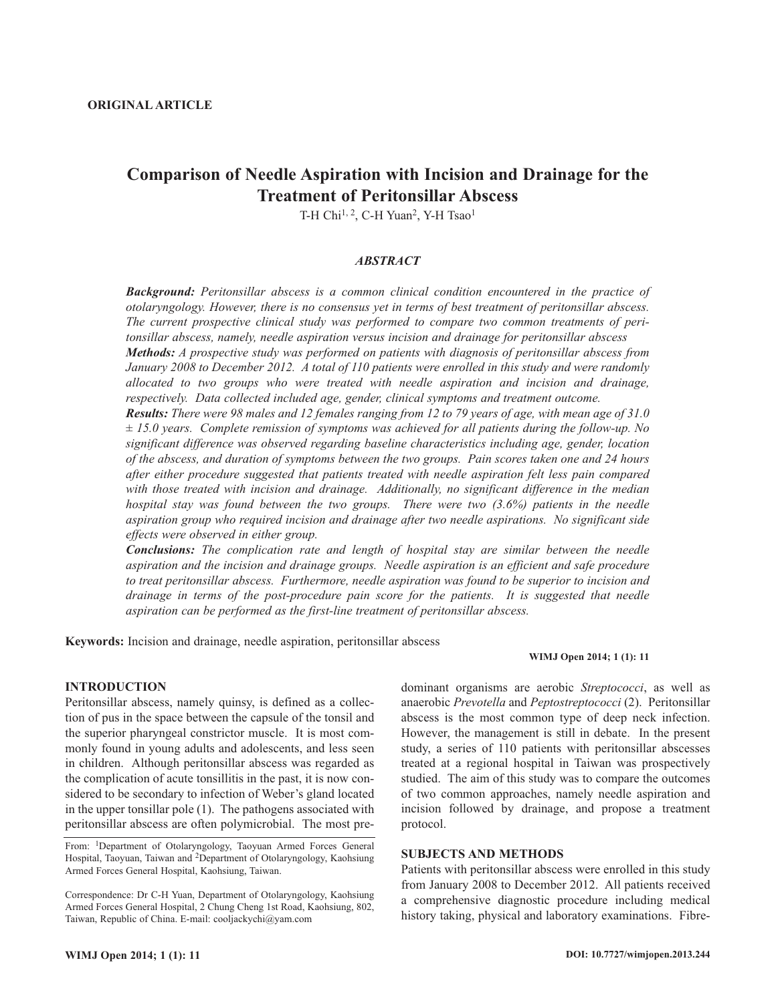# **Comparison of Needle Aspiration with Incision and Drainage for the Treatment of Peritonsillar Abscess**

T-H Chi<sup>1, 2</sup>, C-H Yuan<sup>2</sup>, Y-H Tsao<sup>1</sup>

### *ABSTRACT*

*Background: Peritonsillar abscess is a common clinical condition encountered in the practice of otolaryngology. However, there is no consensus yet in terms of best treatment of peritonsillar abscess. The current prospective clinical study was performed to compare two common treatments of peritonsillar abscess, namely, needle aspiration versus incision and drainage for peritonsillar abscess Methods: A prospective study was performed on patients with diagnosis of peritonsillar abscess from January 2008 to December 2012. A total of 110 patients were enrolled in this study and were randomly*

*allocated to two groups who were treated with needle aspiration and incision and drainage, respectively. Data collected included age, gender, clinical symptoms and treatment outcome.*

*Results: There were 98 males and 12 females ranging from 12 to 79 years of age, with mean age of 31.0 ± 15.0 years. Complete remission of symptoms was achieved for all patients during the follow-up. No significant difference was observed regarding baseline characteristics including age, gender, location of the abscess, and duration of symptoms between the two groups. Pain scores taken one and 24 hours after either procedure suggested that patients treated with needle aspiration felt less pain compared with those treated with incision and drainage. Additionally, no significant difference in the median hospital stay was found between the two groups. There were two (3.6%) patients in the needle aspiration group who required incision and drainage after two needle aspirations. No significant side effects were observed in either group.*

*Conclusions: The complication rate and length of hospital stay are similar between the needle aspiration and the incision and drainage groups. Needle aspiration is an efficient and safe procedure to treat peritonsillar abscess. Furthermore, needle aspiration was found to be superior to incision and drainage in terms of the post-procedure pain score for the patients. It is suggested that needle aspiration can be performed as the first-line treatment of peritonsillar abscess.*

**Keywords:** Incision and drainage, needle aspiration, peritonsillar abscess

### **WIMJ Open 2014; 1 (1): 11**

### **INTRODUCTION**

Peritonsillar abscess, namely quinsy, is defined as a collection of pus in the space between the capsule of the tonsil and the superior pharyngeal constrictor muscle. It is most commonly found in young adults and adolescents, and less seen in children. Although peritonsillar abscess was regarded as the complication of acute tonsillitis in the past, it is now considered to be secondary to infection of Weber's gland located in the upper tonsillar pole (1). The pathogens associated with peritonsillar abscess are often polymicrobial. The most pre-

From: 1Department of Otolaryngology, Taoyuan Armed Forces General Hospital, Taoyuan, Taiwan and <sup>2</sup>Department of Otolaryngology, Kaohsiung Armed Forces General Hospital, Kaohsiung, Taiwan.

Correspondence: Dr C-H Yuan, Department of Otolaryngology, Kaohsiung Armed Forces General Hospital, 2 Chung Cheng 1st Road, Kaohsiung, 802, Taiwan, Republic of China. E-mail: cooljackychi@yam.com

dominant organisms are aerobic *Streptococci*, as well as anaerobic *Prevotella* and *Peptostreptococci* (2). Peritonsillar abscess is the most common type of deep neck infection. However, the management is still in debate. In the present study, a series of 110 patients with peritonsillar abscesses treated at a regional hospital in Taiwan was prospectively studied. The aim of this study was to compare the outcomes of two common approaches, namely needle aspiration and incision followed by drainage, and propose a treatment protocol.

## **SUBJECTS AND METHODS**

Patients with peritonsillar abscess were enrolled in this study from January 2008 to December 2012. All patients received a comprehensive diagnostic procedure including medical history taking, physical and laboratory examinations. Fibre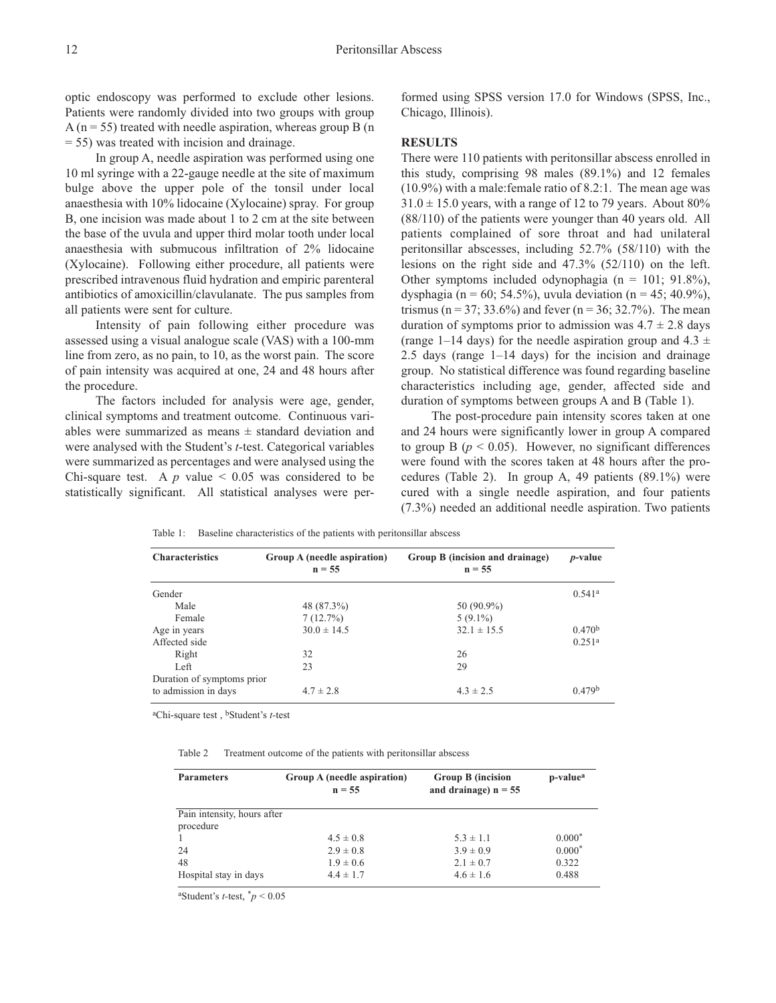optic endoscopy was performed to exclude other lesions. Patients were randomly divided into two groups with group A ( $n = 55$ ) treated with needle aspiration, whereas group B ( $n$ ) = 55) was treated with incision and drainage.

In group A, needle aspiration was performed using one 10 ml syringe with a 22-gauge needle at the site of maximum bulge above the upper pole of the tonsil under local anaesthesia with 10% lidocaine (Xylocaine) spray. For group B, one incision was made about 1 to 2 cm at the site between the base of the uvula and upper third molar tooth under local anaesthesia with submucous infiltration of 2% lidocaine (Xylocaine). Following either procedure, all patients were prescribed intravenous fluid hydration and empiric parenteral antibiotics of amoxicillin/clavulanate. The pus samples from all patients were sent for culture.

Intensity of pain following either procedure was assessed using a visual analogue scale (VAS) with a 100-mm line from zero, as no pain, to 10, as the worst pain. The score of pain intensity was acquired at one, 24 and 48 hours after the procedure.

The factors included for analysis were age, gender, clinical symptoms and treatment outcome. Continuous variables were summarized as means  $\pm$  standard deviation and were analysed with the Student's *t-*test. Categorical variables were summarized as percentages and were analysed using the Chi-square test. A  $p$  value  $\leq 0.05$  was considered to be statistically significant. All statistical analyses were performed using SPSS version 17.0 for Windows (SPSS, Inc., Chicago, Illinois).

#### **RESULTS**

There were 110 patients with peritonsillar abscess enrolled in this study, comprising 98 males (89.1%) and 12 females (10.9%) with a male:female ratio of 8.2:1. The mean age was  $31.0 \pm 15.0$  years, with a range of 12 to 79 years. About 80% (88/110) of the patients were younger than 40 years old. All patients complained of sore throat and had unilateral peritonsillar abscesses, including 52.7% (58/110) with the lesions on the right side and 47.3% (52/110) on the left. Other symptoms included odynophagia ( $n = 101$ ; 91.8%), dysphagia (n = 60; 54.5%), uvula deviation (n = 45; 40.9%), trismus ( $n = 37$ ; 33.6%) and fever ( $n = 36$ ; 32.7%). The mean duration of symptoms prior to admission was  $4.7 \pm 2.8$  days (range 1–14 days) for the needle aspiration group and  $4.3 \pm$ 2.5 days (range 1–14 days) for the incision and drainage group. No statistical difference was found regarding baseline characteristics including age, gender, affected side and duration of symptoms between groups A and B (Table 1).

The post-procedure pain intensity scores taken at one and 24 hours were significantly lower in group A compared to group B ( $p < 0.05$ ). However, no significant differences were found with the scores taken at 48 hours after the procedures (Table 2). In group A, 49 patients (89.1%) were cured with a single needle aspiration, and four patients (7.3%) needed an additional needle aspiration. Two patients

Table 1: Baseline characteristics of the patients with peritonsillar abscess

| <b>Characteristics</b>     | Group A (needle aspiration)<br>$n = 55$ | Group B (incision and drainage)<br>$n = 55$ | <i>p</i> -value      |
|----------------------------|-----------------------------------------|---------------------------------------------|----------------------|
| Gender                     |                                         |                                             | $0.541$ <sup>a</sup> |
| Male                       | 48 (87.3%)                              | 50 (90.9%)                                  |                      |
| Female                     | 7(12.7%)                                | $5(9.1\%)$                                  |                      |
| Age in years               | $30.0 \pm 14.5$                         | $32.1 \pm 15.5$                             | 0.470 <sup>b</sup>   |
| Affected side              |                                         |                                             | 0.251 <sup>a</sup>   |
| Right                      | 32                                      | 26                                          |                      |
| Left                       | 23                                      | 29                                          |                      |
| Duration of symptoms prior |                                         |                                             |                      |
| to admission in days       | $4.7 \pm 2.8$                           | $4.3 \pm 2.5$                               | 0.479 <sup>b</sup>   |

aChi-square test , bStudent's *t-*test

Table 2 Treatment outcome of the patients with peritonsillar abscess

| <b>Parameters</b>           | Group A (needle aspiration)<br>$n = 55$ | <b>Group B</b> (incision<br>and drainage) $n = 55$ | p-value <sup>a</sup> |
|-----------------------------|-----------------------------------------|----------------------------------------------------|----------------------|
| Pain intensity, hours after |                                         |                                                    |                      |
| procedure                   |                                         |                                                    |                      |
|                             | $4.5 \pm 0.8$                           | $5.3 \pm 1.1$                                      | $0.000*$             |
| 24                          | $2.9 \pm 0.8$                           | $3.9 \pm 0.9$                                      | $0.000*$             |
| 48                          | $1.9 \pm 0.6$                           | $2.1 \pm 0.7$                                      | 0.322                |
| Hospital stay in days       | $4.4 \pm 1.7$                           | $4.6 \pm 1.6$                                      | 0.488                |

aStudent's *t-*test, \**p* < 0.05